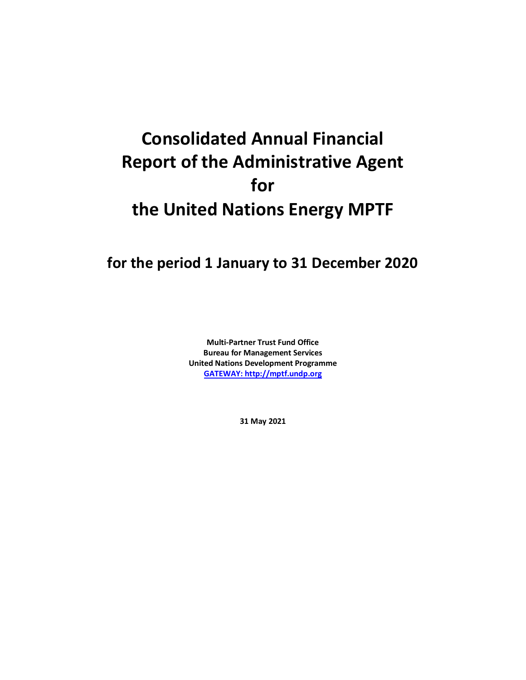# **Consolidated Annual Financial Report of the Administrative Agent for the United Nations Energy MPTF**

# **for the period 1 January to 31 December 2020**

**Multi-Partner Trust Fund Office Bureau for Management Services United Nations Development Programme [GATEWAY: http://mptf.undp.org](http://mptf.undp.org/)**

**31 May 2021**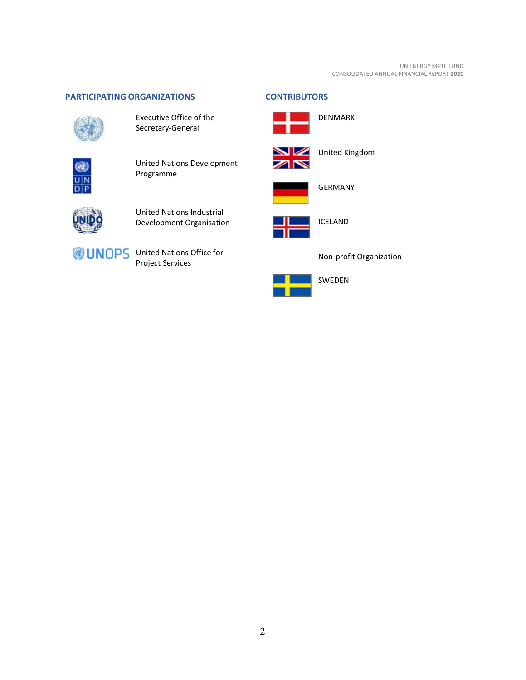#### UN ENERGY MPTF FUND CONSOLIDATED ANNUAL FINANCIAL REPORT **2020**

# <span id="page-1-0"></span>**PARTICIPATING ORGANIZATIONS CONTRIBUTORS**



Executive Office of the Secretary-General



United Nations Development Programme



United Nations Industrial Development Organisation



**UNOPS** United Nations Office for Project Services

<span id="page-1-1"></span>



United Kingdom

DENMARK



GERMANY



ICELAND



Non-profit Organization

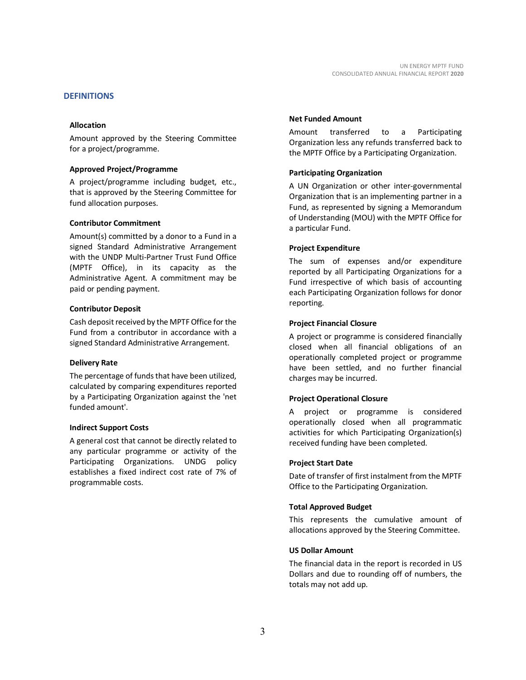#### <span id="page-2-0"></span>**DEFINITIONS**

#### **Allocation**

Amount approved by the Steering Committee for a project/programme.

#### **Approved Project/Programme**

A project/programme including budget, etc., that is approved by the Steering Committee for fund allocation purposes.

#### **Contributor Commitment**

Amount(s) committed by a donor to a Fund in a signed Standard Administrative Arrangement with the UNDP Multi-Partner Trust Fund Office (MPTF Office), in its capacity as the Administrative Agent. A commitment may be paid or pending payment.

#### **Contributor Deposit**

Cash deposit received by the MPTF Office for the Fund from a contributor in accordance with a signed Standard Administrative Arrangement.

#### **Delivery Rate**

The percentage of funds that have been utilized, calculated by comparing expenditures reported by a Participating Organization against the 'net funded amount'.

#### **Indirect Support Costs**

A general cost that cannot be directly related to any particular programme or activity of the Participating Organizations. UNDG policy establishes a fixed indirect cost rate of 7% of programmable costs.

#### **Net Funded Amount**

Amount transferred to a Participating Organization less any refunds transferred back to the MPTF Office by a Participating Organization.

#### **Participating Organization**

A UN Organization or other inter-governmental Organization that is an implementing partner in a Fund, as represented by signing a Memorandum of Understanding (MOU) with the MPTF Office for a particular Fund.

#### **Project Expenditure**

The sum of expenses and/or expenditure reported by all Participating Organizations for a Fund irrespective of which basis of accounting each Participating Organization follows for donor reporting.

#### **Project Financial Closure**

A project or programme is considered financially closed when all financial obligations of an operationally completed project or programme have been settled, and no further financial charges may be incurred.

#### **Project Operational Closure**

A project or programme is considered operationally closed when all programmatic activities for which Participating Organization(s) received funding have been completed.

#### **Project Start Date**

Date of transfer of first instalment from the MPTF Office to the Participating Organization.

#### **Total Approved Budget**

This represents the cumulative amount of allocations approved by the Steering Committee.

#### **US Dollar Amount**

The financial data in the report is recorded in US Dollars and due to rounding off of numbers, the totals may not add up.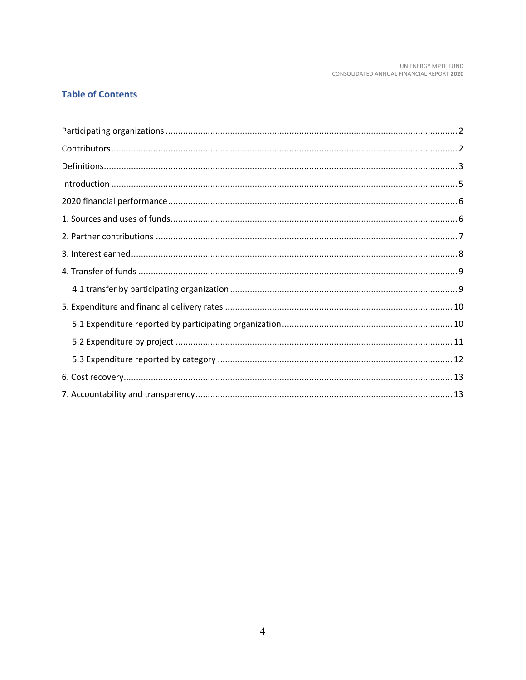# **Table of Contents**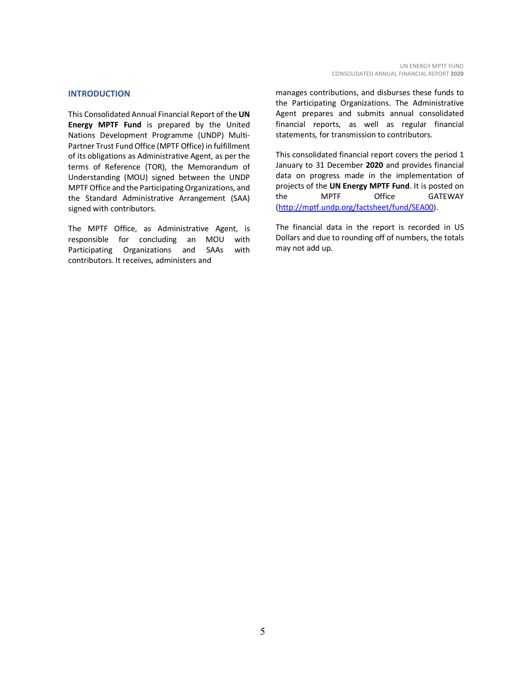#### <span id="page-4-0"></span>**INTRODUCTION**

This Consolidated Annual Financial Report of the **UN Energy MPTF Fund** is prepared by the United Nations Development Programme (UNDP) Multi-Partner Trust Fund Office (MPTF Office) in fulfillment of its obligations as Administrative Agent, as per the terms of Reference (TOR), the Memorandum of Understanding (MOU) signed between the UNDP MPTF Office and the Participating Organizations, and the Standard Administrative Arrangement (SAA) signed with contributors.

The MPTF Office, as Administrative Agent, is responsible for concluding an MOU with Participating Organizations and SAAs with contributors. It receives, administers and

manages contributions, and disburses these funds to the Participating Organizations. The Administrative Agent prepares and submits annual consolidated financial reports, as well as regular financial statements, for transmission to contributors.

This consolidated financial report covers the period 1 January to 31 December **2020** and provides financial data on progress made in the implementation of projects of the **UN Energy MPTF Fund**. It is posted on the MPTF Office GATEWAY [\(http://mptf.undp.org/factsheet/fund/SEA00\)](http://mptf.undp.org/factsheet/fund/SEA00).

The financial data in the report is recorded in US Dollars and due to rounding off of numbers, the totals may not add up.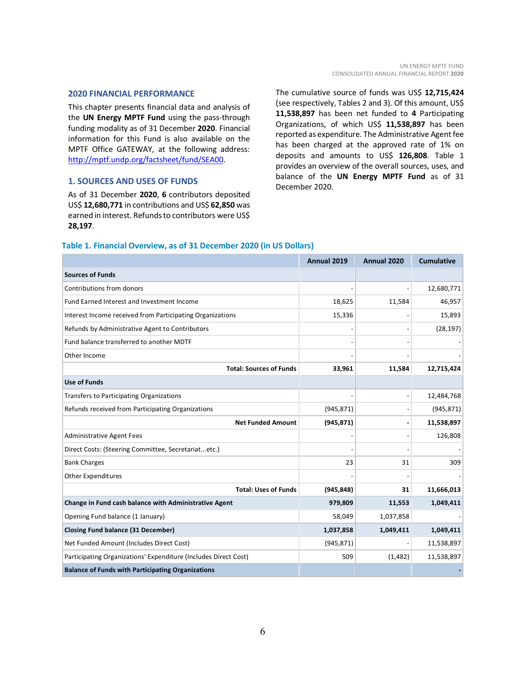#### <span id="page-5-0"></span>**2020 FINANCIAL PERFORMANCE**

This chapter presents financial data and analysis of the **UN Energy MPTF Fund** using the pass-through funding modality as of 31 December **2020**. Financial information for this Fund is also available on the MPTF Office GATEWAY, at the following address: [http://mptf.undp.org/factsheet/fund/SEA00.](http://mptf.undp.org/factsheet/fund/SEA00)

#### <span id="page-5-1"></span>**1. SOURCES AND USES OF FUNDS**

As of 31 December **2020**, **6** contributors deposited US\$ **12,680,771** in contributions and US\$ **62,850** was earned in interest. Refunds to contributors were US\$ **28,197**.

The cumulative source of funds was US\$ **12,715,424** (see respectively, Tables 2 and 3). Of this amount, US\$ **11,538,897** has been net funded to **4** Participating Organizations, of which US\$ **11,538,897** has been reported as expenditure. The Administrative Agent fee has been charged at the approved rate of 1% on deposits and amounts to US\$ **126,808**. Table 1 provides an overview of the overall sources, uses, and balance of the **UN Energy MPTF Fund** as of 31 December 2020.

#### **Table 1. Financial Overview, as of 31 December 2020 (in US Dollars)**

|                                                                 | Annual 2019 | Annual 2020 | <b>Cumulative</b> |
|-----------------------------------------------------------------|-------------|-------------|-------------------|
| <b>Sources of Funds</b>                                         |             |             |                   |
| Contributions from donors                                       |             |             | 12,680,771        |
| Fund Earned Interest and Investment Income                      | 18,625      | 11,584      | 46,957            |
| Interest Income received from Participating Organizations       | 15,336      |             | 15,893            |
| Refunds by Administrative Agent to Contributors                 |             |             | (28, 197)         |
| Fund balance transferred to another MDTF                        |             |             |                   |
| Other Income                                                    |             |             |                   |
| <b>Total: Sources of Funds</b>                                  | 33,961      | 11,584      | 12,715,424        |
| <b>Use of Funds</b>                                             |             |             |                   |
| <b>Transfers to Participating Organizations</b>                 |             |             | 12,484,768        |
| Refunds received from Participating Organizations               | (945, 871)  |             | (945, 871)        |
| <b>Net Funded Amount</b>                                        | (945, 871)  |             | 11,538,897        |
| <b>Administrative Agent Fees</b>                                |             |             | 126,808           |
| Direct Costs: (Steering Committee, Secretariatetc.)             |             |             |                   |
| <b>Bank Charges</b>                                             | 23          | 31          | 309               |
| <b>Other Expenditures</b>                                       |             |             |                   |
| <b>Total: Uses of Funds</b>                                     | (945, 848)  | 31          | 11,666,013        |
| Change in Fund cash balance with Administrative Agent           | 979,809     | 11,553      | 1,049,411         |
| Opening Fund balance (1 January)                                | 58,049      | 1,037,858   |                   |
| <b>Closing Fund balance (31 December)</b>                       | 1,037,858   | 1,049,411   | 1,049,411         |
| Net Funded Amount (Includes Direct Cost)                        | (945, 871)  |             | 11,538,897        |
| Participating Organizations' Expenditure (Includes Direct Cost) | 509         | (1,482)     | 11,538,897        |
| <b>Balance of Funds with Participating Organizations</b>        |             |             |                   |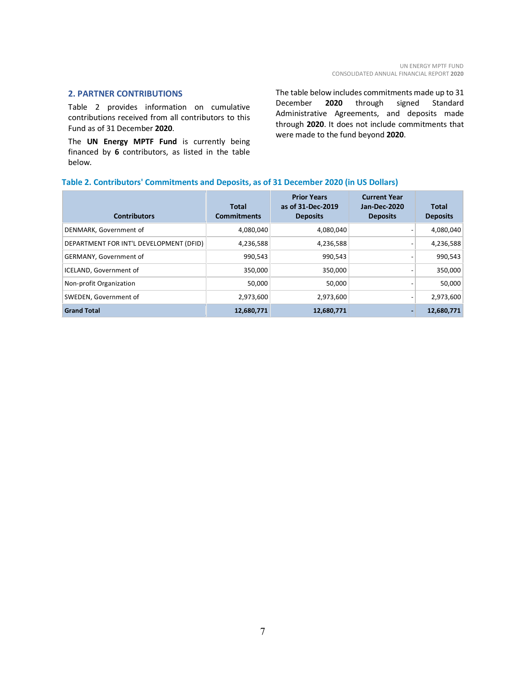#### <span id="page-6-0"></span>**2. PARTNER CONTRIBUTIONS**

Table 2 provides information on cumulative contributions received from all contributors to this Fund as of 31 December **2020**.

The **UN Energy MPTF Fund** is currently being financed by **6** contributors, as listed in the table below.

The table below includes commitments made up to 31 December **2020** through signed Standard Administrative Agreements, and deposits made through **2020**. It does not include commitments that were made to the fund beyond **2020**.

#### **Table 2. Contributors' Commitments and Deposits, as of 31 December 2020 (in US Dollars)**

| <b>Contributors</b>                     | <b>Total</b><br><b>Commitments</b> | <b>Prior Years</b><br>as of 31-Dec-2019<br><b>Deposits</b> | <b>Current Year</b><br><b>Jan-Dec-2020</b><br><b>Deposits</b> | <b>Total</b><br><b>Deposits</b> |
|-----------------------------------------|------------------------------------|------------------------------------------------------------|---------------------------------------------------------------|---------------------------------|
| DENMARK, Government of                  | 4,080,040                          | 4,080,040                                                  |                                                               | 4,080,040                       |
| DEPARTMENT FOR INT'L DEVELOPMENT (DFID) | 4,236,588                          | 4,236,588                                                  |                                                               | 4,236,588                       |
| <b>GERMANY, Government of</b>           | 990,543                            | 990,543                                                    |                                                               | 990,543                         |
| ICELAND, Government of                  | 350,000                            | 350,000                                                    |                                                               | 350,000                         |
| Non-profit Organization                 | 50,000                             | 50.000                                                     |                                                               | 50,000                          |
| SWEDEN, Government of                   | 2,973,600                          | 2,973,600                                                  |                                                               | 2,973,600                       |
| <b>Grand Total</b>                      | 12,680,771                         | 12,680,771                                                 |                                                               | 12,680,771                      |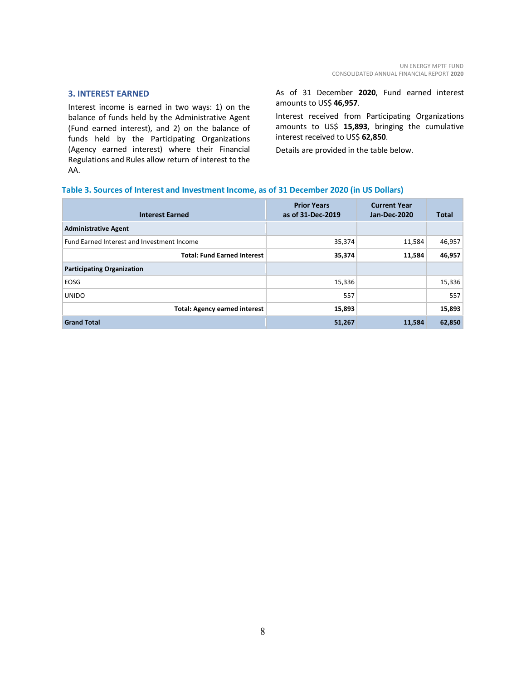#### <span id="page-7-0"></span>**3. INTEREST EARNED**

Interest income is earned in two ways: 1) on the balance of funds held by the Administrative Agent (Fund earned interest), and 2) on the balance of funds held by the Participating Organizations (Agency earned interest) where their Financial Regulations and Rules allow return of interest to the AA.

As of 31 December **2020**, Fund earned interest amounts to US\$ **46,957**.

Interest received from Participating Organizations amounts to US\$ **15,893**, bringing the cumulative interest received to US\$ **62,850**.

Details are provided in the table below.

#### **Table 3. Sources of Interest and Investment Income, as of 31 December 2020 (in US Dollars)**

| <b>Interest Earned</b>                     | <b>Prior Years</b><br>as of 31-Dec-2019 | <b>Current Year</b><br><b>Jan-Dec-2020</b> | <b>Total</b> |
|--------------------------------------------|-----------------------------------------|--------------------------------------------|--------------|
| <b>Administrative Agent</b>                |                                         |                                            |              |
| Fund Earned Interest and Investment Income | 35,374                                  | 11,584                                     | 46,957       |
| <b>Total: Fund Earned Interest</b>         | 35,374                                  | 11,584                                     | 46,957       |
| <b>Participating Organization</b>          |                                         |                                            |              |
| EOSG                                       | 15,336                                  |                                            | 15,336       |
| <b>UNIDO</b>                               | 557                                     |                                            | 557          |
| <b>Total: Agency earned interest</b>       | 15,893                                  |                                            | 15,893       |
| <b>Grand Total</b>                         | 51,267                                  | 11,584                                     | 62,850       |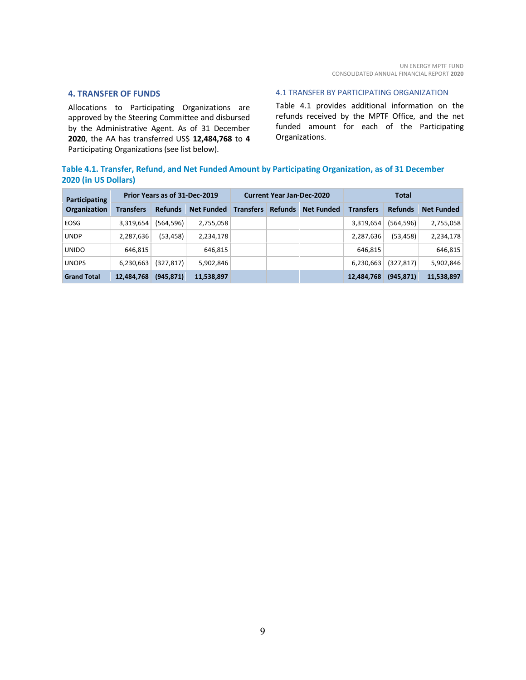#### <span id="page-8-0"></span>**4. TRANSFER OF FUNDS**

Allocations to Participating Organizations are approved by the Steering Committee and disbursed by the Administrative Agent. As of 31 December **2020**, the AA has transferred US\$ **12,484,768** to **4** Participating Organizations (see list below).

#### <span id="page-8-1"></span>4.1 TRANSFER BY PARTICIPATING ORGANIZATION

Table 4.1 provides additional information on the refunds received by the MPTF Office, and the net funded amount for each of the Participating Organizations.

# **Table 4.1. Transfer, Refund, and Net Funded Amount by Participating Organization, as of 31 December 2020 (in US Dollars)**

| Participating<br><b>Organization</b> | Prior Years as of 31-Dec-2019 |                |                   | <b>Current Year Jan-Dec-2020</b> |                |                   | <b>Total</b>     |                |                   |
|--------------------------------------|-------------------------------|----------------|-------------------|----------------------------------|----------------|-------------------|------------------|----------------|-------------------|
|                                      | <b>Transfers</b>              | <b>Refunds</b> | <b>Net Funded</b> | <b>Transfers</b>                 | <b>Refunds</b> | <b>Net Funded</b> | <b>Transfers</b> | <b>Refunds</b> | <b>Net Funded</b> |
| EOSG                                 | 3,319,654                     | (564, 596)     | 2,755,058         |                                  |                |                   | 3,319,654        | (564, 596)     | 2,755,058         |
| <b>UNDP</b>                          | 2,287,636                     | (53, 458)      | 2,234,178         |                                  |                |                   | 2,287,636        | (53, 458)      | 2,234,178         |
| <b>UNIDO</b>                         | 646,815                       |                | 646,815           |                                  |                |                   | 646,815          |                | 646,815           |
| <b>UNOPS</b>                         | 6,230,663                     | (327,817)      | 5,902,846         |                                  |                |                   | 6,230,663        | (327, 817)     | 5,902,846         |
| <b>Grand Total</b>                   | 12,484,768                    | (945, 871)     | 11,538,897        |                                  |                |                   | 12,484,768       | (945, 871)     | 11,538,897        |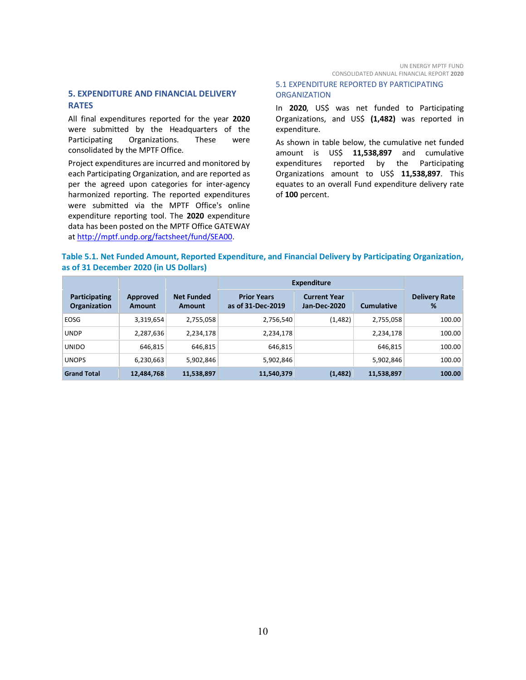### <span id="page-9-0"></span>**5. EXPENDITURE AND FINANCIAL DELIVERY RATES**

All final expenditures reported for the year **2020** were submitted by the Headquarters of the Participating Organizations. These were consolidated by the MPTF Office.

Project expenditures are incurred and monitored by each Participating Organization, and are reported as per the agreed upon categories for inter-agency harmonized reporting. The reported expenditures were submitted via the MPTF Office's online expenditure reporting tool. The **2020** expenditure data has been posted on the MPTF Office GATEWAY at [http://mptf.undp.org/factsheet/fund/SEA00.](http://mptf.undp.org/factsheet/fund/SEA00) 

#### <span id="page-9-1"></span>5.1 EXPENDITURE REPORTED BY PARTICIPATING **ORGANIZATION**

In **2020**, US\$ was net funded to Participating Organizations, and US\$ **(1,482)** was reported in expenditure.

As shown in table below, the cumulative net funded amount is US\$ **11,538,897** and cumulative expenditures reported by the Participating Organizations amount to US\$ **11,538,897**. This equates to an overall Fund expenditure delivery rate of **100** percent.

#### **Table 5.1. Net Funded Amount, Reported Expenditure, and Financial Delivery by Participating Organization, as of 31 December 2020 (in US Dollars)**

|                                      |                    |                             | <b>Expenditure</b>                      |                                            |                   |                           |
|--------------------------------------|--------------------|-----------------------------|-----------------------------------------|--------------------------------------------|-------------------|---------------------------|
| Participating<br><b>Organization</b> | Approved<br>Amount | <b>Net Funded</b><br>Amount | <b>Prior Years</b><br>as of 31-Dec-2019 | <b>Current Year</b><br><b>Jan-Dec-2020</b> | <b>Cumulative</b> | <b>Delivery Rate</b><br>% |
| EOSG                                 | 3,319,654          | 2,755,058                   | 2,756,540                               | (1, 482)                                   | 2,755,058         | 100.00                    |
| <b>UNDP</b>                          | 2,287,636          | 2,234,178                   | 2,234,178                               |                                            | 2,234,178         | 100.00                    |
| <b>UNIDO</b>                         | 646,815            | 646,815                     | 646,815                                 |                                            | 646.815           | 100.00                    |
| <b>UNOPS</b>                         | 6,230,663          | 5,902,846                   | 5,902,846                               |                                            | 5,902,846         | 100.00                    |
| <b>Grand Total</b>                   | 12,484,768         | 11,538,897                  | 11,540,379                              | (1, 482)                                   | 11,538,897        | 100.00                    |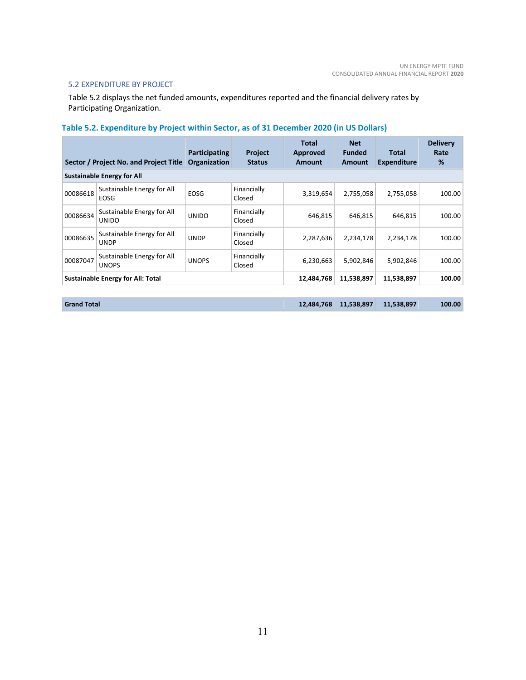#### <span id="page-10-0"></span>5.2 EXPENDITURE BY PROJECT

Table 5.2 displays the net funded amounts, expenditures reported and the financial delivery rates by Participating Organization.

# **Table 5.2. Expenditure by Project within Sector, as of 31 December 2020 (in US Dollars)**

| Sector / Project No. and Project Title |                                            | Participating<br>Organization | <b>Project</b><br><b>Status</b> | Total<br><b>Approved</b><br><b>Amount</b> | <b>Net</b><br><b>Funded</b><br>Amount | Total<br><b>Expenditure</b> | <b>Delivery</b><br>Rate<br>% |
|----------------------------------------|--------------------------------------------|-------------------------------|---------------------------------|-------------------------------------------|---------------------------------------|-----------------------------|------------------------------|
|                                        | <b>Sustainable Energy for All</b>          |                               |                                 |                                           |                                       |                             |                              |
| 00086618                               | Sustainable Energy for All<br>EOSG         | <b>EOSG</b>                   | Financially<br>Closed           | 3,319,654                                 | 2,755,058                             | 2,755,058                   | 100.00                       |
| 00086634                               | Sustainable Energy for All<br><b>UNIDO</b> | <b>UNIDO</b>                  | Financially<br>Closed           | 646,815                                   | 646,815                               | 646,815                     | 100.00                       |
| 00086635                               | Sustainable Energy for All<br><b>UNDP</b>  | <b>UNDP</b>                   | Financially<br>Closed           | 2,287,636                                 | 2,234,178                             | 2,234,178                   | 100.00                       |
| 00087047                               | Sustainable Energy for All<br><b>UNOPS</b> | <b>UNOPS</b>                  | Financially<br>Closed           | 6,230,663                                 | 5,902,846                             | 5,902,846                   | 100.00                       |
|                                        | <b>Sustainable Energy for All: Total</b>   |                               |                                 | 12,484,768                                | 11,538,897                            | 11,538,897                  | 100.00                       |

| <b>Grand Total</b> |  | 12,484,768 11,538,897 | 11,538,897 | 100.00 |
|--------------------|--|-----------------------|------------|--------|
|--------------------|--|-----------------------|------------|--------|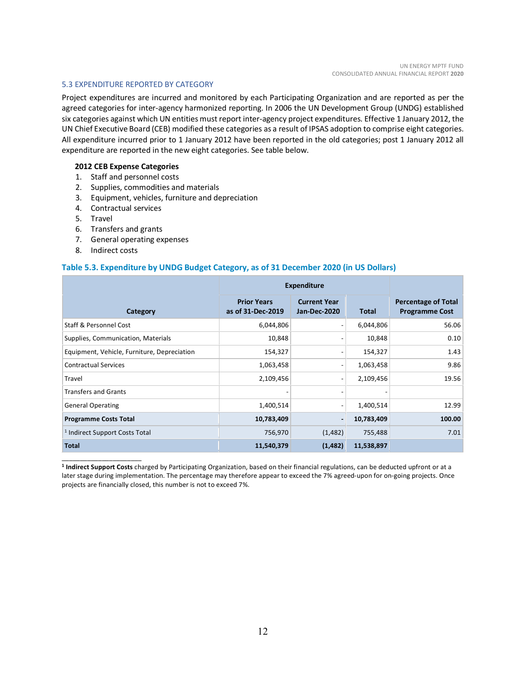#### <span id="page-11-0"></span>5.3 EXPENDITURE REPORTED BY CATEGORY

Project expenditures are incurred and monitored by each Participating Organization and are reported as per the agreed categories for inter-agency harmonized reporting. In 2006 the UN Development Group (UNDG) established six categories against which UN entities must report inter-agency project expenditures. Effective 1 January 2012, the UN Chief Executive Board (CEB) modified these categories as a result of IPSAS adoption to comprise eight categories. All expenditure incurred prior to 1 January 2012 have been reported in the old categories; post 1 January 2012 all expenditure are reported in the new eight categories. See table below.

#### **2012 CEB Expense Categories**

- 1. Staff and personnel costs
- 2. Supplies, commodities and materials
- 3. Equipment, vehicles, furniture and depreciation
- 4. Contractual services
- 5. Travel
- 6. Transfers and grants
- 7. General operating expenses
- 8. Indirect costs

\_\_\_\_\_\_\_\_\_\_\_\_\_\_\_\_\_\_\_\_\_\_

#### **Table 5.3. Expenditure by UNDG Budget Category, as of 31 December 2020 (in US Dollars)**

|                                             | <b>Expenditure</b>                      |                                            |              |                                                     |
|---------------------------------------------|-----------------------------------------|--------------------------------------------|--------------|-----------------------------------------------------|
| Category                                    | <b>Prior Years</b><br>as of 31-Dec-2019 | <b>Current Year</b><br><b>Jan-Dec-2020</b> | <b>Total</b> | <b>Percentage of Total</b><br><b>Programme Cost</b> |
| Staff & Personnel Cost                      | 6,044,806                               |                                            | 6,044,806    | 56.06                                               |
| Supplies, Communication, Materials          | 10,848                                  |                                            | 10,848       | 0.10                                                |
| Equipment, Vehicle, Furniture, Depreciation | 154,327                                 |                                            | 154,327      | 1.43                                                |
| <b>Contractual Services</b>                 | 1,063,458                               | $\qquad \qquad \blacksquare$               | 1,063,458    | 9.86                                                |
| Travel                                      | 2,109,456                               | $\overline{\phantom{a}}$                   | 2,109,456    | 19.56                                               |
| <b>Transfers and Grants</b>                 |                                         |                                            |              |                                                     |
| <b>General Operating</b>                    | 1,400,514                               | $\qquad \qquad \blacksquare$               | 1,400,514    | 12.99                                               |
| <b>Programme Costs Total</b>                | 10,783,409                              | ۰                                          | 10,783,409   | 100.00                                              |
| <sup>1</sup> Indirect Support Costs Total   | 756,970                                 | (1, 482)                                   | 755,488      | 7.01                                                |
| <b>Total</b>                                | 11,540,379                              | (1, 482)                                   | 11,538,897   |                                                     |

**<sup>1</sup> Indirect Support Costs** charged by Participating Organization, based on their financial regulations, can be deducted upfront or at a later stage during implementation. The percentage may therefore appear to exceed the 7% agreed-upon for on-going projects. Once projects are financially closed, this number is not to exceed 7%.